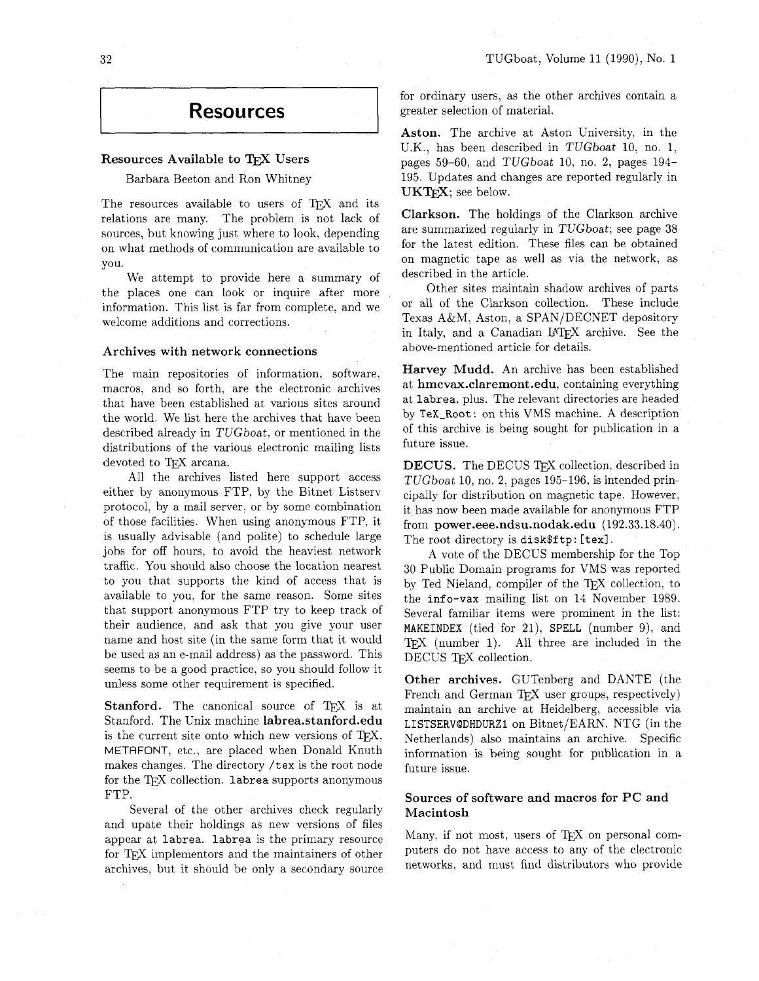# **Resources**

#### Resources Available to TFX Users

Barbara Beeton and Ron Whitney

The resources available to users of *QX* and its relations are many. The problem is not lack of sources, but knowing just where to look, depending on what methods of communication are available to you.

We attempt to provide here a summary of the places one can look or inquire after more information. This list is far from complete. and we welcome additions and corrections.

#### Archives with network connections

The main repositories of information, software, macros, and so forth, are the electronic archives that have been established at various sites around the world. We list here the archives that have been described already in TUGboat, or mentioned in the distributions of the various electronic mailing lists devoted to TFX arcana.

All the archives listed here support access either by anonymous FTP, by the Bitnet Listserv protocol. by a mail server, or by some combination of those facilities. When using anonymous FTP, it is usually advisable (and polite) to schedule large jobs for off hours, to avoid the heaviest network traffic. You should also choose the location nearest to you that supports the kind of access that is available to you. for the same reason. Some sites that support anonymous FTP try to keep track of their audience, and ask that you give your user name and host site (in the same form that it would be used as an e-mail address) as the password. This seems to be a good practice, so you should follow it unless some other requirement is specified.

Stanford. The canonical source of TEX is at Stanford. The Unix machine 1abrea.stanford.edu is the current site onto which new versions of TEX, METAFONT, etc., are placed when Donald Knuth makes changes. The directory /tex is the root node for the TFX collection. 1abrea supports anonymous FTP.

Several of the other archives check regularly and upate their holdings as new versions of files appear at labrea. labrea is the primary resource for T<sub>F</sub>X implementors and the maintainers of other archives, but it should be only a secondary source for ordinary users, as the other archives contain a greater selection of material.

Aston. The archive at Aston University, in the U.K., has been described in TUGboat 10, no. 1, pages 59-60, and TUGboat 10, no. 2, pages 194- 195. Updates and changes are reported regularly in UKTFX; see below.

Clarkson. The holdings of the Clarkson archive are summarized regularly in TUGboat; see page 38 for the latest edition. These files can be obtained on magnetic tape as well as via the network. as described in the article.

Other sites maintain shadow archives of parts or all of the Clarkson collection. These include Texas A&M, Aston, a SPAN/DECNET depository in Italy, and a Canadian IATFX archive. See the above-mentioned article for details.

Harvey Mudd. An archive has been established at hmcvax.claremont.edu, containing everything at labrea. plus. The relevant directories are headed by TeX-Root : on this VMS machine. A description of this archive is being sought for publication in a future issue.

DECUS. The DECUS TFX collection, described in TUGboat 10, no. 2, pages 195-196, is intended principally for distribution on magnetic tape. However, it has now been made available for anonymous FTP from **power.eee.ndsu.nodak.edu** (192.33.18.40). The root directory is disk\$ftp: [tex].

A vote of the DECUS membership for the Top 30 Public Domain programs for VMS was reported by Ted Nieland, compiler of the TEX collection. to the info-vax mailing list on 14 November 1989. Several familiar items were prominent in the list: MAKEINDEX (tied for 21), SPELL (number 9), and  $TFX$  (number 1). All three are included in the DECUS TFX collection.

Other archives. GUTenberg and DANTE (the French and German TEX user groups, respectively) maintain an archive at Heidelberg, accessible via LISTSERV@DHDURZ1 on Bitnet/EARN. NTG (in the Netherlands) also maintains an archive. Specific information is being sought for publication in a future issue.

# Sources of software and macros for PC and Macintosh

Many, if not most, users of  $TrX$  on personal computers do not have access to any of the electronic networks, and must find distributors who provide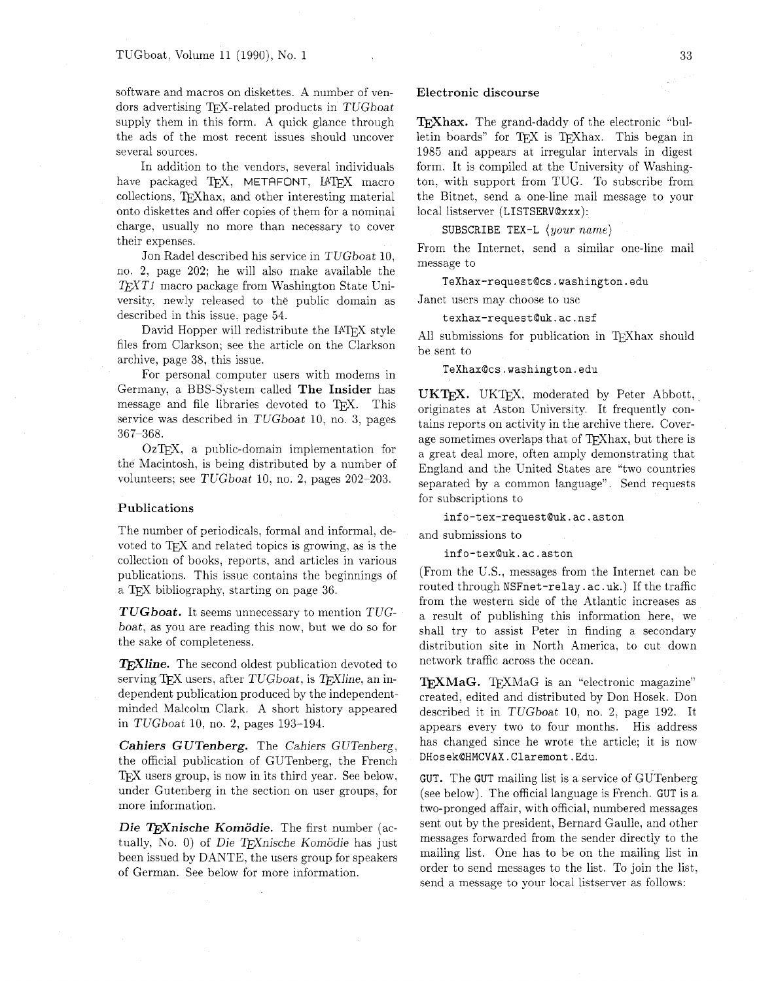software and macros on diskettes. A number of vendors advertising TFX-related products in TUGboat supply them in this form. A quick glance through the ads of the most recent issues should uncover several sources.

In addition to the vendors, several individuals have packaged TFX, METAFONT, IATFX macro collections, TFXhax, and other interesting material onto diskettes and offer copies of them for a nominal charge. usually no more than necessary to cover their expenses.

Jon Radel described his service in TUGboat 10. no. 2, page 202; he will also make available the *T<sub>E</sub>XT1* macro package from Washington State University, newly released to the public domain as described in this issue. page 54.

David Hopper will redistribute the IATEX style files from Clarkson; see the article on the Clarkson archive, page 38, this issue.

For personal computer users with modems in Germany, a BBS-System called The Insider has message and file libraries devoted to TFX. This service was described in TUGboat 10. no. 3, pages 367-368.

OzT<sub>F</sub>X, a public-domain implementation for the Macintosh, is being distributed by a number of volunteers: see TUGboat 10, no. 2. pages 202-203.

#### Publications

The number of periodicals, formal and informal. devoted to T<sub>F</sub>X and related topics is growing, as is the collection of books. reports, and articles in various publications. This issue contains the beginnings of a TEX bibliography, starting on page 36.

*TUGboat.* It seems unnecessary to mention TUGboat, as you are reading this now, but we do so for the sake of completeness.

**TEXIIne.** The second oldest publication devoted to serving TFX users, after  $TUGboat$ , is  $TFX$ line, an independent publication produced by the independentminded Malcolm Clark. A short history appeared in TUGboat 10, no. 2, pages 193-194.

*Cahiers* **G** *UTenberg.* The Cahiers G UTenberg, the official publication of GUTenberg, the French T<sub>E</sub>X users group, is now in its third year. See below, under Gutenberg in the section on user groups, for more information.

**Die TrXnische Komödie.** The first number (actually, No. 0) of Die T<sub>F</sub>Xnische Komödie has just been issued by DANTE, the users group for speakers of German. See below for more information.

#### Electronic discourse

**TEXhax.** The grand-daddy of the electronic "bulletin boards" for TFX is TFXhax. This began in 1985 and appears at irregular intervals in digest form. It is compiled at the University of Washington. with support from TUG. To subscribe from the Bitnet, send a one-line mail message to your local listserver (LISTSERVQxxx):

SUBSCRIBE TEX-L  $\langle your\ name\rangle$ 

From the Internet. send a similar one-line mail message to

**TeXhax-request@cs.washington.edu** 

Janet users may choose to use

## **texhax-request@uk.ac.nsf**

All submissions for publication in TFXhax should be sent to

**TeXhax@cs.washington.edu** 

UKT<sub>F</sub>X. UKT<sub>F</sub>X, moderated by Peter Abbott, originates at Aston University. It frequently contains reports on activity in the archive there. Coverage sometimes overlaps that of T<sub>F</sub>Xhax, but there is a great deal more, often amply demonstrating that England and the United States are "two countries separated by a common language". Send requests for subscriptions to

info-tex-request@uk.ac.aston

and submissions to

info-tex@uk.ac.aston

(From the U.S.. messages from the Internet can be routed through NSFnet-relay . ac .uk.) If the traffic from the western side of the Atlantic increases as a result of publishing this information here, we shall try to assist Peter in finding a secondary distribution site in North America, to cut down network traffic across the ocean.

**TEXMaG.** TEXMaG is an "electronic magazine" created. edited and distributed by Don Hosek. Don described it in TUGboat 10. no. 2. page 192. It appears every two to four months. His address has changed since he wrote the article; it is now DHosek@HMCVAX.Claremont.Edu.

GUT. The GUT mailing list is a service of GUTenberg (see below). The official language is French. GUT is a two-pronged affair, with official, numbered messages sent out by the president, Bernard Gaulle, and other messages forwarded from the sender directly to the mailing list. One has to be on the mailing list in order to send messages to the list. To join the list. send a message to your local listserver as follows: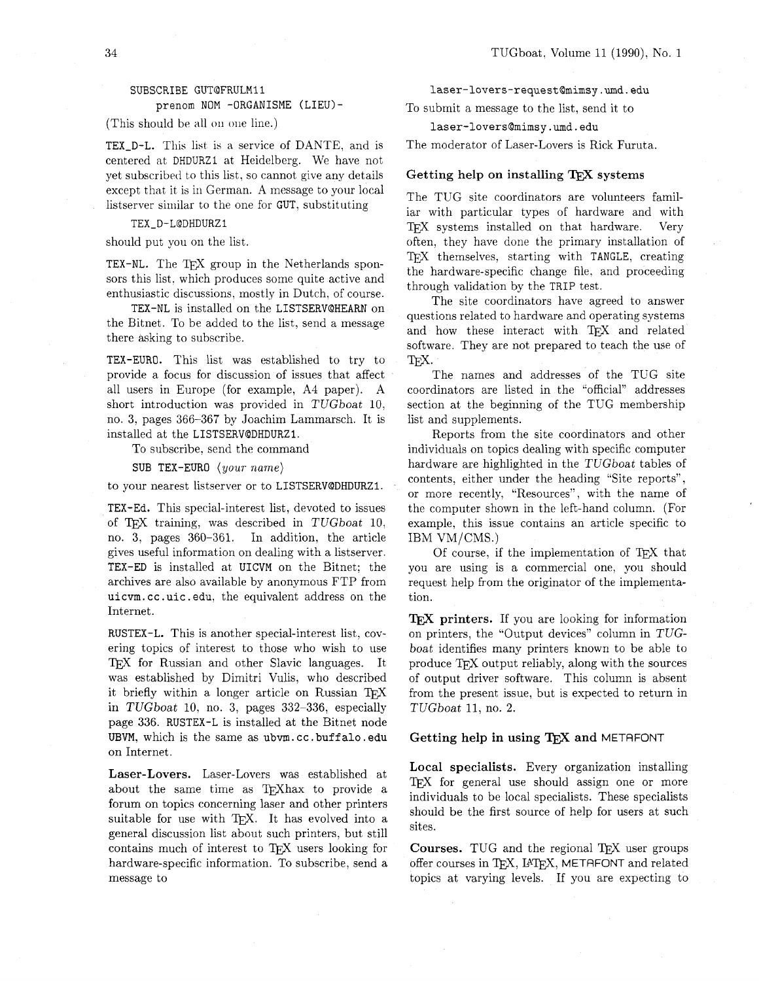# SUBSCRIBE GUT@FRULM11 prenom NOM -0RGANISME (LIEU)-

(This should be all on one line.)

TEX-D-L. This list is a service of DANTE, and is centered at DHDURZl at Heidelberg. We have not yet subscribed to this list. so cannot give any details except that it is in German. A message to your local listserver similar to the one for GUT, substituting

TEX-D-L@DHDURZ1

should put you on the list.

TEX-NL. The TFX group in the Netherlands sponsors this list, which produces some quite active and enthusiastic discussions. mostly in Dutch, of course.

TEX-NL is installed on the LISTSERVQHEARN on the Bitnet. To be added to the list, send a message there asking to subscribe.

TEX-EURO. This list was established to try to provide a focus for discussion of issues that affect all users in Europe (for example, A4 paper). A short introduction was provided in TUGboat 10, no. 3. pages 366-367 by Joachim Lammarsch. It is installed at the LISTSERVQDHDURZI.

To subscribe. send the command

SUB TEX-EURO  $\langle your\ name\rangle$ 

to your nearest listserver or to LISTSERVQDHDURZI.

TEX-Ed. This special-interest list, devoted to issues of TEX training, was described in  $TUGboat$  10, no. 3, pages 360-361. In addition, the article In addition, the article gives useful information on dealing with a listserver. TEX-ED is installed at UICVM on the Bitnet: the archives are also available by anonymous FTP from uicvm. cc. uic . edu, the equivalent address on the Internet.

RUSTEX-L. This is another special-interest list, covering topics of interest to those who wish to use TFX for Russian and other Slavic languages. It was established by Dimitri Vulis, who described it briefly within a longer article on Russian in TUGboat 10. no. 3, pages 332-336, especially page 336. RUSTEX-L is installed at the Bitnet node UBVM, which is the same as ubvm.cc.buffalo.edu on Internet.

Laser-Lovers. Laser-Lovers was established at about the same time as TFXhax to provide a forum on topics concerning laser and other printers suitable for use with TFX. It has evolved into a general discussion list about such printers, but still contains much of interest to TFX users looking for hardware-specific information. To subscribe, send a message to

**laser-lovers-request@mimsy.umd.edu** 

To submit a message to the list, send it to

#### **laser-lovers@mimsy.urnd.edu**

The moderator of Laser-Lovers is Rick Furuta.

#### Getting help on installing  $T_F X$  systems

The TUG site coordinators are volunteers familiar with particular types of hardware and with TFX systems installed on that hardware. Very often, they have done the primary installation of T<sub>F</sub>X themselves, starting with TANGLE, creating the hardware-specific change file. and proceeding through validation by the TRIP test.

The site coordinators have agreed to answer questions related to hardware and operating systems and how these interact with TFX and related software. They are not prepared to teach the use of TEX.<br>This is represented addresses of the TUC site.

The names and addresses of the TUG site coordinators are listed in the "official" addresses section at the beginning of the TUG membership list and supplements.

Reports from the site coordinators and other individuals on topics dealing with specific computer hardware are highlighted in the TUGboat tables of contents. either under the heading "Site reports", or more recently, "Resources", with the name of the computer shown in the left-hand column. (For example, this issue contains an article specific to IBM VM/CMS.)

Of course, if the implementation of TEX that you are using is a commercial one, you should request help from the originator of the implementation.

TFX printers. If you are looking for information on printers, the "Output devices" column in TUGboat identifies many printers known to be able to produce TFX output reliably, along with the sources of output driver software. This column is absent from the present issue, but is expected to return in TUGboat 11. no. 2.

#### Getting help in using  $T_FX$  and METAFONT

Local specialists. Every organization installing TEX for general use should assign one or more individuals to be local specialists. These specialists should be the first source of help for users at such sites.

Courses. TUG and the regional TEX user groups offer courses in TFX, IATFX, METAFONT and related topics at varying levels. If you are expecting to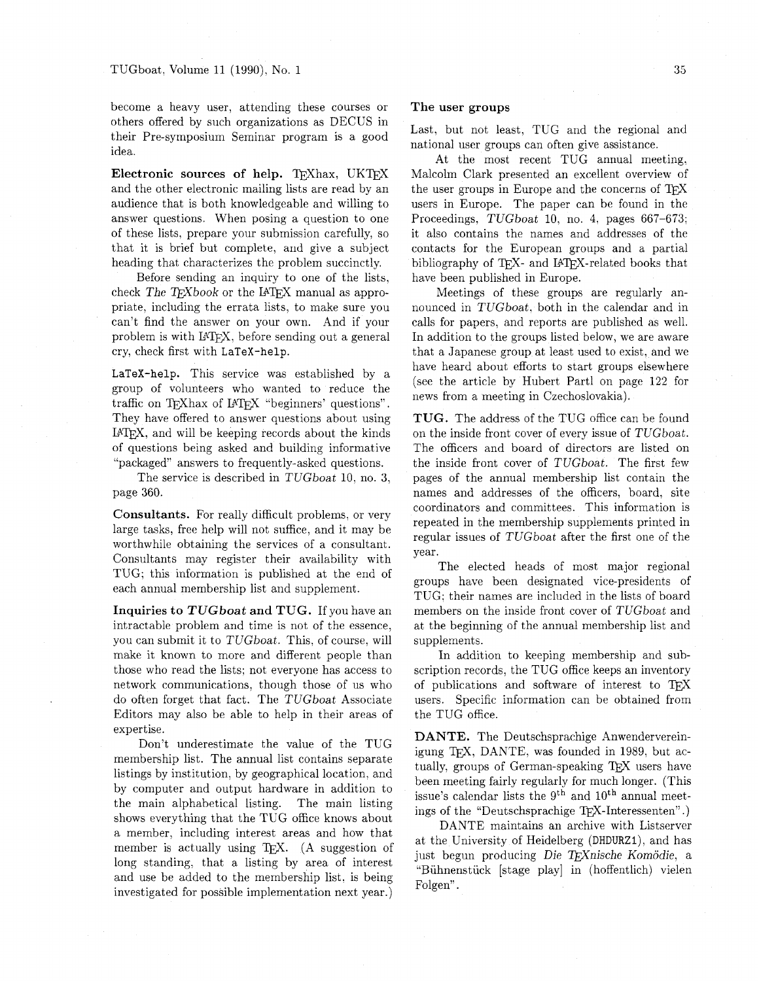become a heavy user, attending these courses or others offered by such organizations as DECUS in their Pre-symposium Seminar program is a good idea.

Electronic sources of help. TFXhax. UKTFX and the other electronic mailing lists are read by an audience that is both knowledgeable and willing to answer questions. When posing a question to one of these lists, prepare your submission carefully, so that it is brief but complete, and give a subject heading that characterizes the problem succinctly.

Before sending an inquiry to one of the lists, check The T $FX$ book or the LAT $\overline{Y}X$  manual as appropriate, including the errata lists, to make sure you can't find the answer on your own. And if your problem is with LATFX, before sending out a general cry, check first with LaTeX-help.

LaTeX-help. This service was established by a group of volunteers who wanted to reduce the traffic on TEXhax of LATEX "beginners' questions". They have offered to answer questions about using LAT<sub>F</sub>X, and will be keeping records about the kinds of questions being asked and building informative "packaged" answers to frequently-asked questions.

The service is described in TUGboat 10, no. 3, page 360.

Consultants. For really difficult problems, or very large tasks, free help will not suffice, and it may be worthwhile obtaining the services of a consultant. Consultants may register their availability with TUG; this information is published at the end of each annual membership list and supplement.

Inquiries to *TUGboat* and TUG. If you have an intractable problem and time is not of the essence, you can submit it to TUGboat. This, of course, will make it known to more and different people than those who read the lists; not everyone has access to network communications, though those of us who do often forget that fact. The TUGboat Associate Editors may also be able to help in their areas of

expertise.<br>
Don't underestimate the value of the TUG<br>
membership list. The annual list contains separate<br>
listings by institution, by geographical location, and<br>
by computer and output hardware in addition to<br>
the main al a member, including interest areas and how that member is actually using TEX. (A suggestion of at the University of Heidelberg (DHDURZ1), and has nember is actually using TEX. (A suggestion of just begun producing Die TFXnische Komödie, a long standing, that a listing by area of interest and use be added to the membership list, is being<br>investigated for possible implementation next year.) Folgen".

#### The user groups

Last, but not least, TUG and the regional and national user groups can often give assistance.

At the most recent TUG annual meeting. Malcolm Clark presented an excellent overview of the user groups in Europe and the concerns of  $T_F X$ users in Europe. The paper can be found in the Proceedings. TUGboat 10, no. 4, pages 667-673; it also contains the names and addresses of the contacts for the European groups and a partial bibliography of TFX- and IATFX-related books that have been published in Europe.

Meetings of these groups are regularly announced in TUGboat, both in the calendar and in calls for papers, and reports are published as well. In addition to the groups listed below, we are aware that a Japanese group at least used to exist, and we have heard about efforts to start groups elsewhere (see the article by Hubert Part1 on page 122 for news from a meeting in Czechoslovakia).

TUG. The address of the TUG office can be found on the inside front cover of every issue of TUGboat. The officers and board of directors are listed on the inside front cover of TUGboat. The first few pages of the annual membership list contain the names and addresses of the officers, board, site coordinators and committees. This information is repeated in the membership supplements printed in regular issues of TUGboat after the first one of the year.

The elected heads of most major regional groups have been designated vice-presidents of TUG; their names are included in the lists of board members on the inside front cover of TUGboat and at the beginning of the annual membership list and supplements.

In addition to keeping membership and subscription records, the TUG office keeps an inventory of publications and software of interest to  $T_F X$ users. Specific information can be obtained from the TUG office.